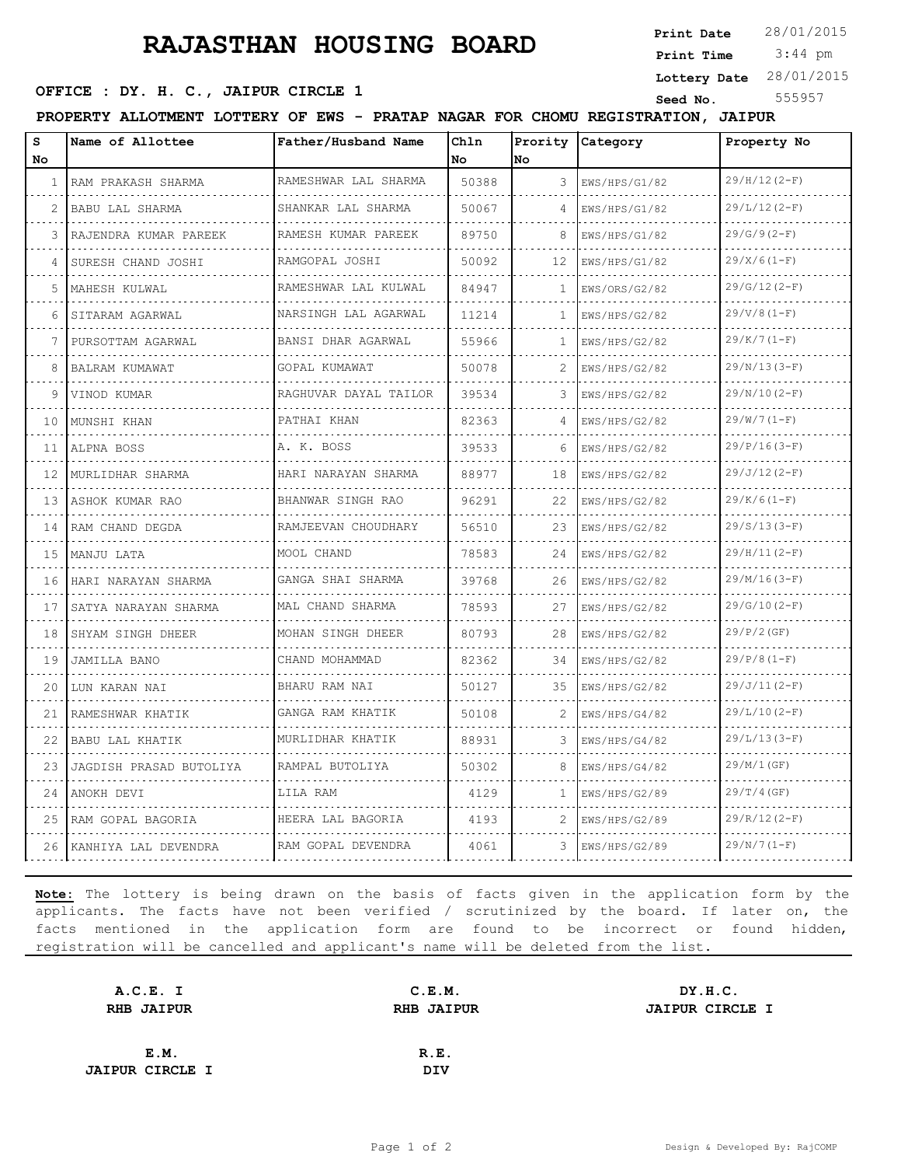## **RAJASTHAN HOUSING BOARD**

**Print Date**

 3:44 pm **Print Time**

## **OFFICE : DY. H. C., JAIPUR CIRCLE 1** Seed No. 555957

**Lottery Date** 28/01/2015

| PRATAP NAGAR FOR CHOMU REGISTRATION, JAIPUR<br>PROPERTY ALLOTMENT LOTTERY OF<br>EWS |
|-------------------------------------------------------------------------------------|
|-------------------------------------------------------------------------------------|

| s                 | Name of Allottee        | Father/Husband Name    | Chln  |    | Prority Category   | Property No    |
|-------------------|-------------------------|------------------------|-------|----|--------------------|----------------|
| No                |                         |                        | No    | No |                    |                |
| 1                 | RAM PRAKASH SHARMA      | RAMESHWAR LAL SHARMA   | 50388 | 3  | EWS/HPS/G1/82      | $29/H/12(2-F)$ |
| 2                 | BABU LAL SHARMA         | SHANKAR LAL SHARMA     | 50067 | 4  | EWS/HPS/G1/82      | $29/L/12(2-F)$ |
| 3                 | RAJENDRA KUMAR PAREEK   | RAMESH KUMAR PAREEK    | 89750 | 8  | EWS/HPS/G1/82      | $29/G/9(2-F)$  |
| 4                 | SURESH CHAND JOSHI      | RAMGOPAL JOSHI         | 50092 | 12 | EWS/HPS/G1/82      | $29/X/6(1-F)$  |
| 5                 | MAHESH KULWAL           | RAMESHWAR LAL KULWAL   | 84947 | 1  | EWS/ORS/G2/82      | $29/G/12(2-F)$ |
| 6                 | SITARAM AGARWAL         | NARSINGH LAL AGARWAL   | 11214 | 1. | EWS/HPS/G2/82      | $29/V/8(1-F)$  |
|                   | PURSOTTAM AGARWAL       | BANSI DHAR AGARWAL     | 55966 | 1  | EWS/HPS/G2/82      | $29/K/7(1-F)$  |
| 8                 | BALRAM KUMAWAT          | GOPAL KUMAWAT          | 50078 | 2  | EWS/HPS/G2/82      | $29/N/13(3-F)$ |
| 9                 | VINOD KUMAR             | RAGHUVAR DAYAL TAILOR  | 39534 | 3  | EWS/HPS/G2/82      | $29/N/10(2-F)$ |
| 10                | MUNSHI KHAN             | PATHAI KHAN            | 82363 | 4  | EWS/HPS/G2/82      | $29/W/7 (1-F)$ |
| 11                | ALPNA BOSS              | A. K. BOSS             | 39533 | 6  | EWS/HPS/G2/82      | $29/P/16(3-F)$ |
| $12 \overline{ }$ | MURLIDHAR SHARMA        | HARI NARAYAN SHARMA    | 88977 | 18 | EWS/HPS/G2/82      | $29/J/12(2-F)$ |
| 13                | ASHOK KUMAR RAO         | BHANWAR SINGH RAO<br>. | 96291 | 22 | EWS/HPS/G2/82<br>. | $29/K/6(1-F)$  |
| 14                | RAM CHAND DEGDA         | RAMJEEVAN CHOUDHARY    | 56510 | 23 | EWS/HPS/G2/82      | $29/S/13(3-F)$ |
| 1.5               | MANJU LATA              | MOOL CHAND             | 78583 | 24 | EWS/HPS/G2/82      | $29/H/11(2-F)$ |
| 16                | HARI NARAYAN SHARMA     | GANGA SHAI SHARMA      | 39768 | 26 | EWS/HPS/G2/82      | $29/M/16(3-F)$ |
| 17                | SATYA NARAYAN SHARMA    | MAL CHAND SHARMA       | 78593 | 27 | EWS/HPS/G2/82      | $29/G/10(2-F)$ |
| 18                | SHYAM SINGH DHEER       | MOHAN SINGH DHEER      | 80793 | 28 | EWS/HPS/G2/82      | $29/P/2$ (GF)  |
| 19                | JAMILLA BANO            | CHAND MOHAMMAD         | 82362 | 34 | EWS/HPS/G2/82      | $29/P/8(1-F)$  |
| 20                | LUN KARAN NAI           | BHARU RAM NAI          | 50127 | 35 | EWS/HPS/G2/82      | $29/J/11(2-F)$ |
| 21                | RAMESHWAR KHATIK        | GANGA RAM KHATIK       | 50108 | 2  | EWS/HPS/G4/82      | $29/L/10(2-F)$ |
| 22                | BABU LAL KHATIK         | MURLIDHAR KHATIK       | 88931 | 3. | EWS/HPS/G4/82      | $29/L/13(3-F)$ |
| 23                | JAGDISH PRASAD BUTOLIYA | RAMPAL BUTOLIYA        | 50302 | 8  | EWS/HPS/G4/82      | 29/M/1(GF)     |
| 24                | ANOKH DEVI              | LILA RAM               | 4129  | 1  | EWS/HPS/G2/89      | $29/T/4$ (GF)  |
| 25                | RAM GOPAL BAGORIA       | HEERA LAL BAGORIA      | 4193  | 2  | EWS/HPS/G2/89      | $29/R/12(2-F)$ |
| 26                | KANHIYA LAL DEVENDRA    | RAM GOPAL DEVENDRA     | 4061  | 3  | EWS/HPS/G2/89      | $29/N/7(1-F)$  |

**Note:** The lottery is being drawn on the basis of facts given in the application form by the applicants. The facts have not been verified / scrutinized by the board. If later on, the facts mentioned in the application form are found to be incorrect or found hidden, registration will be cancelled and applicant's name will be deleted from the list.

| A.C.E. I               | C.E.M.            | DY.H.C.                |
|------------------------|-------------------|------------------------|
| <b>RHB JAIPUR</b>      | <b>RHB JAIPUR</b> | <b>JAIPUR CIRCLE I</b> |
|                        |                   |                        |
| E.M.                   | R.E.              |                        |
| <b>JAIPUR CIRCLE I</b> | <b>DIV</b>        |                        |